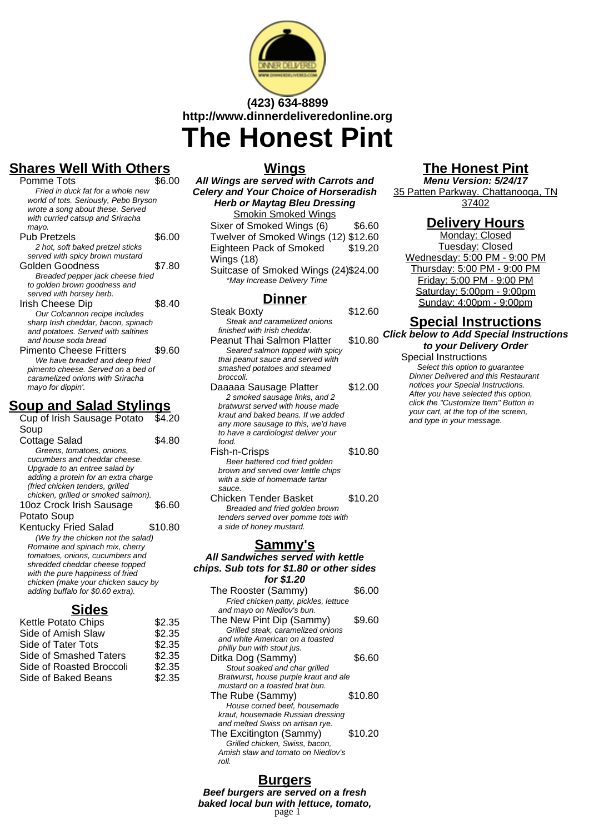

# **(423) 634-8899 http://www.dinnerdeliveredonline.org The Honest Pint**

## **Shares Well With Others**

| Pomme Tots                            | \$6.00 |
|---------------------------------------|--------|
| Fried in duck fat for a whole new     |        |
| world of tots. Seriously, Pebo Bryson |        |
| wrote a song about these. Served      |        |
| with curried catsup and Sriracha      |        |
| mayo.                                 |        |
| Pub Pretzels                          | \$6.00 |
| 2 hot, soft baked pretzel sticks      |        |
| served with spicy brown mustard       |        |
| Golden Goodness                       | \$7.80 |
| Breaded pepper jack cheese fried      |        |
| to golden brown goodness and          |        |
| served with horsey herb.              |        |
| Irish Cheese Dip                      | \$8.40 |
| Our Colcannon recipe includes         |        |
| sharp Irish cheddar, bacon, spinach   |        |
| and potatoes. Served with saltines    |        |
| and house soda bread                  |        |
| Pimento Cheese Fritters               | \$9.60 |
| We have breaded and deep fried        |        |
| pimento cheese. Served on a bed of    |        |
| caramelized onions with Sriracha      |        |
| mayo for dippin'.                     |        |

## **Soup and Salad Stylings**

| Cup of Irish Sausage Potato                                              | \$4.20  |
|--------------------------------------------------------------------------|---------|
| Soup                                                                     |         |
| Cottage Salad                                                            | \$4.80  |
| Greens, tomatoes, onions,                                                |         |
| cucumbers and cheddar cheese.                                            |         |
| Upgrade to an entree salad by                                            |         |
| adding a protein for an extra charge                                     |         |
| (fried chicken tenders, grilled<br>chicken, grilled or smoked salmon).   |         |
| 10oz Crock Irish Sausage                                                 | \$6.60  |
|                                                                          |         |
| Potato Soup                                                              |         |
| <b>Kentucky Fried Salad</b>                                              | \$10.80 |
| (We fry the chicken not the salad)                                       |         |
| Romaine and spinach mix, cherry                                          |         |
| tomatoes, onions, cucumbers and                                          |         |
| shredded cheddar cheese topped<br>with the pure happiness of fried       |         |
|                                                                          |         |
|                                                                          |         |
| chicken (make your chicken saucy by<br>adding buffalo for \$0.60 extra). |         |

## **Sides**

| Kettle Potato Chips      | \$2.35 |
|--------------------------|--------|
| Side of Amish Slaw       | \$2.35 |
| Side of Tater Tots       | \$2.35 |
| Side of Smashed Taters   | \$2.35 |
| Side of Roasted Broccoli | \$2.35 |
| Side of Baked Beans      | \$2.35 |
|                          |        |

## **Wings**

**All Wings are served with Carrots and Celery and Your Choice of Horseradish Herb or Maytag Bleu Dressing** Smokin Smoked Wings

Sixer of Smoked Wings (6) \$6.60 Twelver of Smoked Wings (12) \$12.60 Eighteen Pack of Smoked Wings (18) \$19.20

Suitcase of Smoked Wings (24)\$24.00 \*May Increase Delivery Time

## **Dinner**

- Steak Boxty \$12.60 Steak and caramelized onions finished with Irish cheddar. Peanut Thai Salmon Platter \$10.80 Seared salmon topped with spicy thai peanut sauce and served with smashed potatoes and steamed broccoli. Daaaaa Sausage Platter \$12.00 2 smoked sausage links, and 2 bratwurst served with house made kraut and baked beans. If we added any more sausage to this, we'd have to have a cardiologist deliver your food. Fish-n-Crisps \$10.80 Beer battered cod fried golden brown and served over kettle chips
- with a side of homemade tartar sauce. Chicken Tender Basket \$10.20 Breaded and fried golden brown tenders served over pomme tots with

a side of honey mustard.

## **Sammy's**

**All Sandwiches served with kettle chips. Sub tots for \$1.80 or other sides for \$1.20**

| The Rooster (Sammy)                                       | \$6.00  |
|-----------------------------------------------------------|---------|
| Fried chicken patty, pickles, lettuce                     |         |
| and mayo on Niedlov's bun.                                |         |
| The New Pint Dip (Sammy)                                  | \$9.60  |
| Grilled steak, caramelized onions                         |         |
| and white American on a toasted                           |         |
| philly bun with stout jus.                                |         |
| Ditka Dog (Sammy)                                         | \$6.60  |
| Stout soaked and char grilled                             |         |
| Bratwurst, house purple kraut and ale                     |         |
| mustard on a toasted brat bun.                            |         |
| The Rube (Sammy)                                          | \$10.80 |
| House corned beef, housemade                              |         |
|                                                           |         |
| kraut, housemade Russian dressing                         |         |
| and melted Swiss on artisan rye.                          |         |
|                                                           | \$10.20 |
| The Excitington (Sammy)<br>Grilled chicken, Swiss, bacon, |         |
| Amish slaw and tomato on Niedlov's                        |         |
| roll.                                                     |         |

# **The Honest Pint**

**Menu Version: 5/24/17** 35 Patten Parkway. Chattanooga, TN 37402

## **Delivery Hours**

Monday: Closed Tuesday: Closed Wednesday: 5:00 PM - 9:00 PM Thursday: 5:00 PM - 9:00 PM Friday: 5:00 PM - 9:00 PM Saturday: 5:00pm - 9:00pm Sunday: 4:00pm - 9:00pm

## **Special Instructions**

**Click below to Add Special Instructions to your Delivery Order**

### Special Instructions

Select this option to quarantee Dinner Delivered and this Restaurant notices your Special Instructions. After you have selected this option, click the "Customize Item" Button in your cart, at the top of the screen, and type in your message.

## **Burgers**

**Beef burgers are served on a fresh baked local bun with lettuce, tomato,** page 1